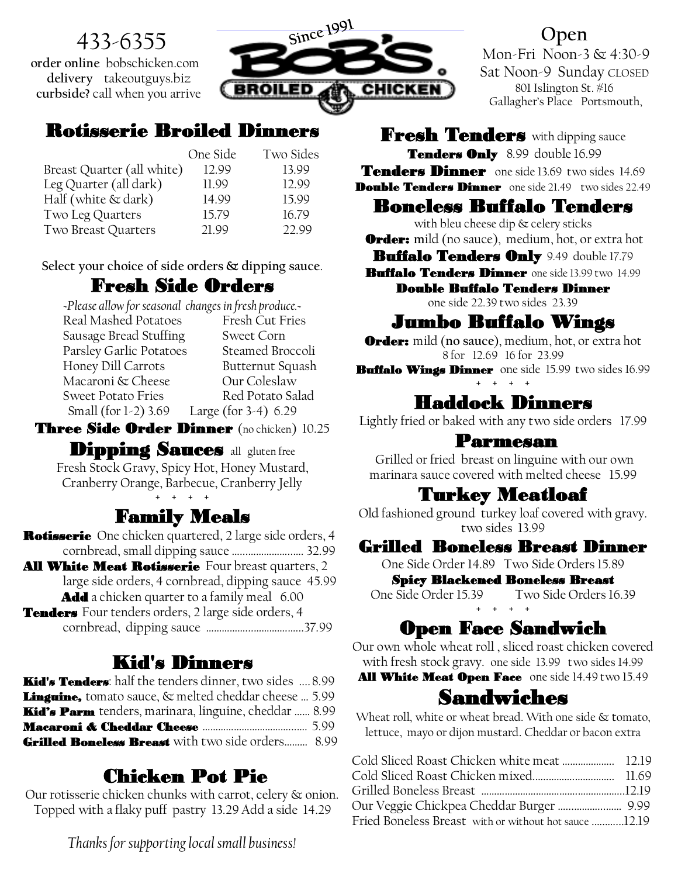# 433-6355

**order online** bobschicken.com **delivery** takeoutguys.biz **curbside?** call when you arrive



#### Rotisserie Broiled Dinners

|                            | One Side | Two Sides |
|----------------------------|----------|-----------|
| Breast Quarter (all white) | 12.99    | 13.99     |
| Leg Quarter (all dark)     | 11.99    | 12.99     |
| Half (white & dark)        | 14.99    | 15.99     |
| Two Leg Quarters           | 15.79    | 16.79     |
| Two Breast Quarters        | 21.99    | 22.99     |

**Select your choice of side orders & dipping sauce**.

### Fresh Side Orders

*~Please allow for seasonal changes in fresh produce.~* Real Mashed Potatoes Sausage Bread Stuffing Sweet Corn Parsley Garlic Potatoes Steamed Broccoli Honey Dill Carrots Butternut Squash Macaroni & Cheese Sweet Potato Fries Red Potato Salad Small (for 1-2) 3.69 Large (for 3-4) 6.29

Three Side Order Dinner (no chicken) 10.25

**Dipping Sauces** all gluten free Fresh Stock Gravy, Spicy Hot, Honey Mustard, Cranberry Orange, Barbecue, Cranberry Jelly + + + +

# Family Meals

**Rotisserie** One chicken quartered, 2 large side orders, 4 cornbread, small dipping sauce …...……………..…. 32.99 All White Meat Rotisserie Four breast quarters, 2 large side orders, 4 cornbread, dipping sauce 45.99 **Add** a chicken quarter to a family meal 6.00 Tenders Four tenders orders, 2 large side orders, 4 cornbread, dipping sauce ……………...………….…...37.99

#### Kid's Dinners

| <b>Kid's Tenders</b> : half the tenders dinner, two sides  8.99 |  |
|-----------------------------------------------------------------|--|
| Linguine, tomato sauce, & melted cheddar cheese  5.99           |  |
| Kid's Parm tenders, marinara, linguine, cheddar  8.99           |  |
|                                                                 |  |
| <b>Grilled Boneless Breast</b> with two side orders 8.99        |  |

# Chicken Pot Pie

Our rotisserie chicken chunks with carrot, celery & onion. Topped with a flaky puff pastry 13.29 Add a side 14.29

#### **Open**

Mon-Fri Noon-3 & 4:30-9 Sat Noon-9 Sunday CLOSED 801 Islington St. #16 Gallagher's Place Portsmouth,

Fresh Tenders with dipping sauce Tenders Only 8.99 double 16.99 Tenders Dinner one side 13.69 two sides 14.69 **Double Tenders Dinner** one side 21.49 two sides 22.49

#### Boneless Buffalo Tenders

with bleu cheese dip & celery sticks **Order:** mild (no sauce), medium, hot, or extra hot

Buffalo Tenders Only 9.49 double 17.79

Buffalo Tenders Dinner one side 13.99 two 14.99

Double Buffalo Tenders Dinner

one side 22.39 two sides 23.39

### Jumbo Buffalo Wings

Order: mild (**no sauce**), medium, hot, or extra hot 8 for 12.69 16 for 23.99

Buffalo Wings Dinner one side 15.99 two sides 16.99 + + + +

#### Haddock Dinners

Lightly fried or baked with any two side orders 17.99

#### Parmesan

Grilled or fried breast on linguine with our own marinara sauce covered with melted cheese 15.99

#### Turkey Meatloaf

Old fashioned ground turkey loaf covered with gravy. two sides 13.99

Grilled Boneless Breast Dinner

One Side Order 14.89 Two Side Orders 15.89

Spicy Blackened Boneless Breast

One Side Order 15.39 Two Side Orders 16.39 + + + +

# Open Face Sandwich

Our own whole wheat roll , sliced roast chicken covered with fresh stock gravy. one side 13.99 two sides 14.99

All White Meat Open Face one side 14.49 two 15.49

#### Sandwiches

Wheat roll, white or wheat bread. With one side & tomato, lettuce, mayo or dijon mustard. Cheddar or bacon extra

| Fried Boneless Breast with or without hot sauce 12.19 |  |
|-------------------------------------------------------|--|